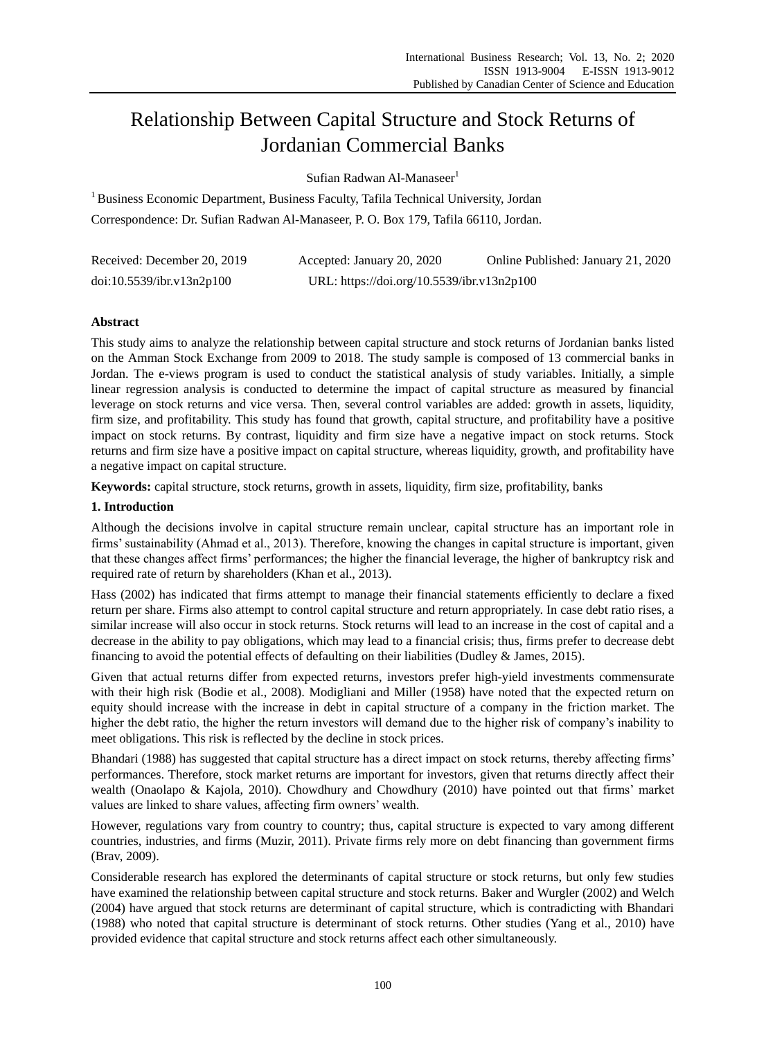# Relationship Between Capital Structure and Stock Returns of Jordanian Commercial Banks

Sufian Radwan Al-Manaseer<sup>1</sup>

<sup>1</sup> Business Economic Department, Business Faculty, Tafila Technical University, Jordan Correspondence: Dr. Sufian Radwan Al-Manaseer, P. O. Box 179, Tafila 66110, Jordan.

| Received: December 20, 2019 | Accepted: January 20, 2020                 | Online Published: January 21, 2020 |
|-----------------------------|--------------------------------------------|------------------------------------|
| doi:10.5539/ibr.v13n2p100   | URL: https://doi.org/10.5539/ibr.v13n2p100 |                                    |

# **Abstract**

This study aims to analyze the relationship between capital structure and stock returns of Jordanian banks listed on the Amman Stock Exchange from 2009 to 2018. The study sample is composed of 13 commercial banks in Jordan. The e-views program is used to conduct the statistical analysis of study variables. Initially, a simple linear regression analysis is conducted to determine the impact of capital structure as measured by financial leverage on stock returns and vice versa. Then, several control variables are added: growth in assets, liquidity, firm size, and profitability. This study has found that growth, capital structure, and profitability have a positive impact on stock returns. By contrast, liquidity and firm size have a negative impact on stock returns. Stock returns and firm size have a positive impact on capital structure, whereas liquidity, growth, and profitability have a negative impact on capital structure.

**Keywords:** capital structure, stock returns, growth in assets, liquidity, firm size, profitability, banks

# **1. Introduction**

Although the decisions involve in capital structure remain unclear, capital structure has an important role in firms' sustainability (Ahmad et al., 2013). Therefore, knowing the changes in capital structure is important, given that these changes affect firms' performances; the higher the financial leverage, the higher of bankruptcy risk and required rate of return by shareholders (Khan et al., 2013).

Hass (2002) has indicated that firms attempt to manage their financial statements efficiently to declare a fixed return per share. Firms also attempt to control capital structure and return appropriately. In case debt ratio rises, a similar increase will also occur in stock returns. Stock returns will lead to an increase in the cost of capital and a decrease in the ability to pay obligations, which may lead to a financial crisis; thus, firms prefer to decrease debt financing to avoid the potential effects of defaulting on their liabilities (Dudley & James, 2015).

Given that actual returns differ from expected returns, investors prefer high-yield investments commensurate with their high risk (Bodie et al., 2008). Modigliani and Miller (1958) have noted that the expected return on equity should increase with the increase in debt in capital structure of a company in the friction market. The higher the debt ratio, the higher the return investors will demand due to the higher risk of company's inability to meet obligations. This risk is reflected by the decline in stock prices.

Bhandari (1988) has suggested that capital structure has a direct impact on stock returns, thereby affecting firms' performances. Therefore, stock market returns are important for investors, given that returns directly affect their wealth (Onaolapo & Kajola, 2010). Chowdhury and Chowdhury (2010) have pointed out that firms' market values are linked to share values, affecting firm owners' wealth.

However, regulations vary from country to country; thus, capital structure is expected to vary among different countries, industries, and firms (Muzir, 2011). Private firms rely more on debt financing than government firms (Brav, 2009).

Considerable research has explored the determinants of capital structure or stock returns, but only few studies have examined the relationship between capital structure and stock returns. Baker and Wurgler (2002) and Welch (2004) have argued that stock returns are determinant of capital structure, which is contradicting with Bhandari (1988) who noted that capital structure is determinant of stock returns. Other studies (Yang et al., 2010) have provided evidence that capital structure and stock returns affect each other simultaneously.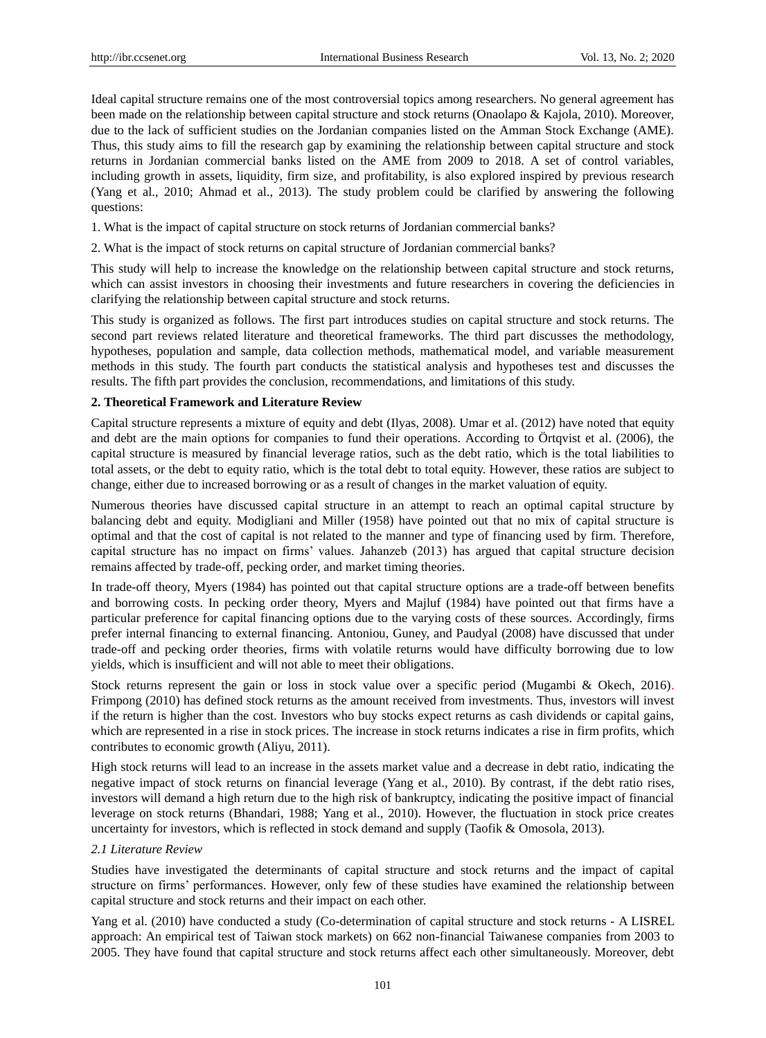Ideal capital structure remains one of the most controversial topics among researchers. No general agreement has been made on the relationship between capital structure and stock returns (Onaolapo & Kajola, 2010). Moreover, due to the lack of sufficient studies on the Jordanian companies listed on the Amman Stock Exchange (AME). Thus, this study aims to fill the research gap by examining the relationship between capital structure and stock returns in Jordanian commercial banks listed on the AME from 2009 to 2018. A set of control variables, including growth in assets, liquidity, firm size, and profitability, is also explored inspired by previous research (Yang et al., 2010; Ahmad et al., 2013). The study problem could be clarified by answering the following questions:

- 1. What is the impact of capital structure on stock returns of Jordanian commercial banks?
- 2. What is the impact of stock returns on capital structure of Jordanian commercial banks?

This study will help to increase the knowledge on the relationship between capital structure and stock returns, which can assist investors in choosing their investments and future researchers in covering the deficiencies in clarifying the relationship between capital structure and stock returns.

This study is organized as follows. The first part introduces studies on capital structure and stock returns. The second part reviews related literature and theoretical frameworks. The third part discusses the methodology, hypotheses, population and sample, data collection methods, mathematical model, and variable measurement methods in this study. The fourth part conducts the statistical analysis and hypotheses test and discusses the results. The fifth part provides the conclusion, recommendations, and limitations of this study.

### **2. Theoretical Framework and Literature Review**

Capital structure represents a mixture of equity and debt (Ilyas, 2008). Umar et al. (2012) have noted that equity and debt are the main options for companies to fund their operations. According to Örtqvist et al. (2006), the capital structure is measured by financial leverage ratios, such as the debt ratio, which is the total liabilities to total assets, or the debt to equity ratio, which is the total debt to total equity. However, these ratios are subject to change, either due to increased borrowing or as a result of changes in the market valuation of equity.

Numerous theories have discussed capital structure in an attempt to reach an optimal capital structure by balancing debt and equity. Modigliani and Miller (1958) have pointed out that no mix of capital structure is optimal and that the cost of capital is not related to the manner and type of financing used by firm. Therefore, capital structure has no impact on firms' values. Jahanzeb (2013) has argued that capital structure decision remains affected by trade-off, pecking order, and market timing theories.

In trade-off theory, Myers (1984) has pointed out that capital structure options are a trade-off between benefits and borrowing costs. In pecking order theory, Myers and Majluf (1984) have pointed out that firms have a particular preference for capital financing options due to the varying costs of these sources. Accordingly, firms prefer internal financing to external financing. Antoniou, Guney, and Paudyal (2008) have discussed that under trade-off and pecking order theories, firms with volatile returns would have difficulty borrowing due to low yields, which is insufficient and will not able to meet their obligations.

Stock returns represent the gain or loss in stock value over a specific period (Mugambi & Okech, 2016). Frimpong (2010) has defined stock returns as the amount received from investments. Thus, investors will invest if the return is higher than the cost. Investors who buy stocks expect returns as cash dividends or capital gains, which are represented in a rise in stock prices. The increase in stock returns indicates a rise in firm profits, which contributes to economic growth (Aliyu, 2011).

High stock returns will lead to an increase in the assets market value and a decrease in debt ratio, indicating the negative impact of stock returns on financial leverage (Yang et al., 2010). By contrast, if the debt ratio rises, investors will demand a high return due to the high risk of bankruptcy, indicating the positive impact of financial leverage on stock returns (Bhandari, 1988; Yang et al., 2010). However, the fluctuation in stock price creates uncertainty for investors, which is reflected in stock demand and supply (Taofik & Omosola, 2013).

#### *2.1 Literature Review*

Studies have investigated the determinants of capital structure and stock returns and the impact of capital structure on firms' performances. However, only few of these studies have examined the relationship between capital structure and stock returns and their impact on each other.

Yang et al. (2010) have conducted a study (Co-determination of capital structure and stock returns - A LISREL approach: An empirical test of Taiwan stock markets) on 662 non-financial Taiwanese companies from 2003 to 2005. They have found that capital structure and stock returns affect each other simultaneously. Moreover, debt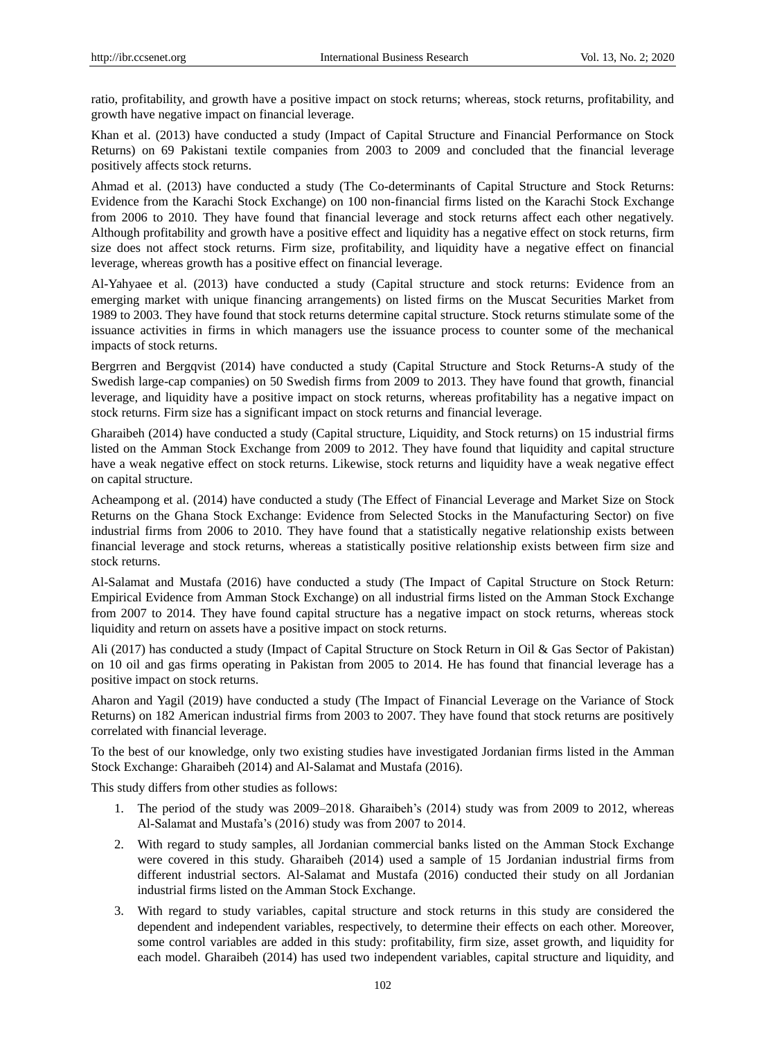ratio, profitability, and growth have a positive impact on stock returns; whereas, stock returns, profitability, and growth have negative impact on financial leverage.

Khan et al. (2013) have conducted a study (Impact of Capital Structure and Financial Performance on Stock Returns) on 69 Pakistani textile companies from 2003 to 2009 and concluded that the financial leverage positively affects stock returns.

Ahmad et al. (2013) have conducted a study (The Co-determinants of Capital Structure and Stock Returns: Evidence from the Karachi Stock Exchange) on 100 non-financial firms listed on the Karachi Stock Exchange from 2006 to 2010. They have found that financial leverage and stock returns affect each other negatively. Although profitability and growth have a positive effect and liquidity has a negative effect on stock returns, firm size does not affect stock returns. Firm size, profitability, and liquidity have a negative effect on financial leverage, whereas growth has a positive effect on financial leverage.

Al-Yahyaee et al. (2013) have conducted a study (Capital structure and stock returns: Evidence from an emerging market with unique financing arrangements) on listed firms on the Muscat Securities Market from 1989 to 2003. They have found that stock returns determine capital structure. Stock returns stimulate some of the issuance activities in firms in which managers use the issuance process to counter some of the mechanical impacts of stock returns.

Bergrren and Bergqvist (2014) have conducted a study (Capital Structure and Stock Returns-A study of the Swedish large-cap companies) on 50 Swedish firms from 2009 to 2013. They have found that growth, financial leverage, and liquidity have a positive impact on stock returns, whereas profitability has a negative impact on stock returns. Firm size has a significant impact on stock returns and financial leverage.

Gharaibeh (2014) have conducted a study (Capital structure, Liquidity, and Stock returns) on 15 industrial firms listed on the Amman Stock Exchange from 2009 to 2012. They have found that liquidity and capital structure have a weak negative effect on stock returns. Likewise, stock returns and liquidity have a weak negative effect on capital structure.

Acheampong et al. (2014) have conducted a study (The Effect of Financial Leverage and Market Size on Stock Returns on the Ghana Stock Exchange: Evidence from Selected Stocks in the Manufacturing Sector) on five industrial firms from 2006 to 2010. They have found that a statistically negative relationship exists between financial leverage and stock returns, whereas a statistically positive relationship exists between firm size and stock returns.

Al-Salamat and Mustafa (2016) have conducted a study (The Impact of Capital Structure on Stock Return: Empirical Evidence from Amman Stock Exchange) on all industrial firms listed on the Amman Stock Exchange from 2007 to 2014. They have found capital structure has a negative impact on stock returns, whereas stock liquidity and return on assets have a positive impact on stock returns.

Ali (2017) has conducted a study (Impact of Capital Structure on Stock Return in Oil & Gas Sector of Pakistan) on 10 oil and gas firms operating in Pakistan from 2005 to 2014. He has found that financial leverage has a positive impact on stock returns.

Aharon and Yagil (2019) have conducted a study (The Impact of Financial Leverage on the Variance of Stock Returns) on 182 American industrial firms from 2003 to 2007. They have found that stock returns are positively correlated with financial leverage.

To the best of our knowledge, only two existing studies have investigated Jordanian firms listed in the Amman Stock Exchange: Gharaibeh (2014) and Al-Salamat and Mustafa (2016).

This study differs from other studies as follows:

- 1. The period of the study was 2009–2018. Gharaibeh's (2014) study was from 2009 to 2012, whereas Al-Salamat and Mustafa's (2016) study was from 2007 to 2014.
- 2. With regard to study samples, all Jordanian commercial banks listed on the Amman Stock Exchange were covered in this study. Gharaibeh (2014) used a sample of 15 Jordanian industrial firms from different industrial sectors. Al-Salamat and Mustafa (2016) conducted their study on all Jordanian industrial firms listed on the Amman Stock Exchange.
- 3. With regard to study variables, capital structure and stock returns in this study are considered the dependent and independent variables, respectively, to determine their effects on each other. Moreover, some control variables are added in this study: profitability, firm size, asset growth, and liquidity for each model. Gharaibeh (2014) has used two independent variables, capital structure and liquidity, and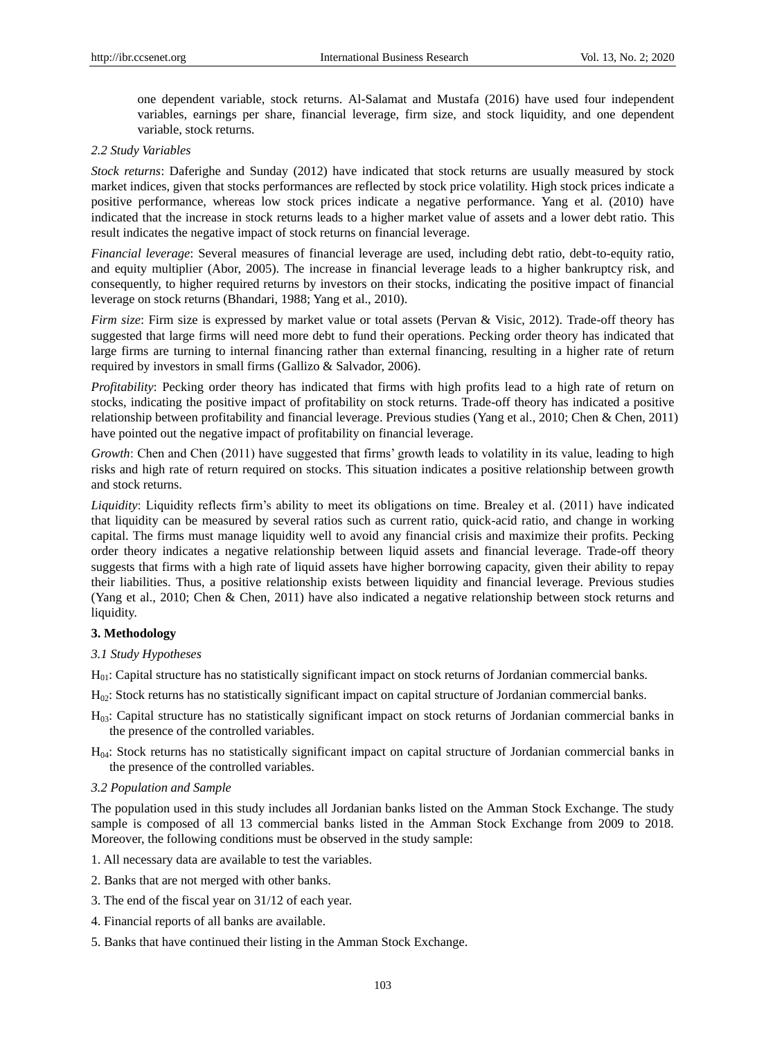one dependent variable, stock returns. Al-Salamat and Mustafa (2016) have used four independent variables, earnings per share, financial leverage, firm size, and stock liquidity, and one dependent variable, stock returns.

# *2.2 Study Variables*

*Stock returns*: Daferighe and Sunday (2012) have indicated that stock returns are usually measured by stock market indices, given that stocks performances are reflected by stock price volatility. High stock prices indicate a positive performance, whereas low stock prices indicate a negative performance. Yang et al. (2010) have indicated that the increase in stock returns leads to a higher market value of assets and a lower debt ratio. This result indicates the negative impact of stock returns on financial leverage.

*Financial leverage*: Several measures of financial leverage are used, including debt ratio, debt-to-equity ratio, and equity multiplier (Abor, 2005). The increase in financial leverage leads to a higher bankruptcy risk, and consequently, to higher required returns by investors on their stocks, indicating the positive impact of financial leverage on stock returns (Bhandari, 1988; Yang et al., 2010).

*Firm size*: Firm size is expressed by market value or total assets (Pervan & Visic, 2012). Trade-off theory has suggested that large firms will need more debt to fund their operations. Pecking order theory has indicated that large firms are turning to internal financing rather than external financing, resulting in a higher rate of return required by investors in small firms (Gallizo & Salvador, 2006).

*Profitability*: Pecking order theory has indicated that firms with high profits lead to a high rate of return on stocks, indicating the positive impact of profitability on stock returns. Trade-off theory has indicated a positive relationship between profitability and financial leverage. Previous studies (Yang et al., 2010; Chen & Chen, 2011) have pointed out the negative impact of profitability on financial leverage.

*Growth*: Chen and Chen (2011) have suggested that firms' growth leads to volatility in its value, leading to high risks and high rate of return required on stocks. This situation indicates a positive relationship between growth and stock returns.

*Liquidity*: Liquidity reflects firm's ability to meet its obligations on time. Brealey et al. (2011) have indicated that liquidity can be measured by several ratios such as current ratio, quick-acid ratio, and change in working capital. The firms must manage liquidity well to avoid any financial crisis and maximize their profits. Pecking order theory indicates a negative relationship between liquid assets and financial leverage. Trade-off theory suggests that firms with a high rate of liquid assets have higher borrowing capacity, given their ability to repay their liabilities. Thus, a positive relationship exists between liquidity and financial leverage. Previous studies (Yang et al., 2010; Chen & Chen, 2011) have also indicated a negative relationship between stock returns and liquidity.

## **3. Methodology**

## *3.1 Study Hypotheses*

 $H<sub>01</sub>$ : Capital structure has no statistically significant impact on stock returns of Jordanian commercial banks.

H02: Stock returns has no statistically significant impact on capital structure of Jordanian commercial banks.

- H03: Capital structure has no statistically significant impact on stock returns of Jordanian commercial banks in the presence of the controlled variables.
- H04: Stock returns has no statistically significant impact on capital structure of Jordanian commercial banks in the presence of the controlled variables.

## *3.2 Population and Sample*

The population used in this study includes all Jordanian banks listed on the Amman Stock Exchange. The study sample is composed of all 13 commercial banks listed in the Amman Stock Exchange from 2009 to 2018. Moreover, the following conditions must be observed in the study sample:

1. All necessary data are available to test the variables.

- 2. Banks that are not merged with other banks.
- 3. The end of the fiscal year on 31/12 of each year.
- 4. Financial reports of all banks are available.
- 5. Banks that have continued their listing in the Amman Stock Exchange.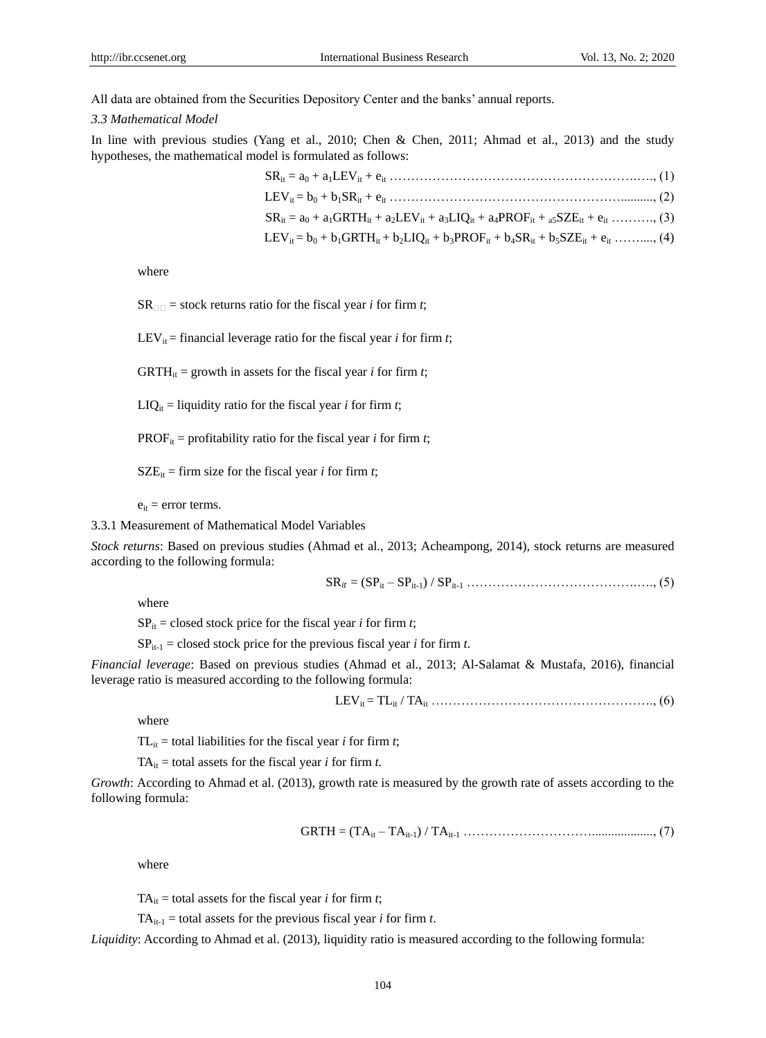All data are obtained from the Securities Depository Center and the banks' annual reports.

#### *3.3 Mathematical Model*

In line with previous studies (Yang et al., 2010; Chen & Chen, 2011; Ahmad et al., 2013) and the study hypotheses, the mathematical model is formulated as follows:

where

 $SR_{\Box\Box}$  = stock returns ratio for the fiscal year *i* for firm *t*;

LEV<sub>it</sub> = financial leverage ratio for the fiscal year *i* for firm *t*;

GRTH<sub>it</sub> = growth in assets for the fiscal year *i* for firm *t*;

 $LIQ_{it}$  = liquidity ratio for the fiscal year *i* for firm *t*;

PROF<sub>it</sub> = profitability ratio for the fiscal year *i* for firm *t*;

 $SZE_{it}$  = firm size for the fiscal year *i* for firm *t*;

 $e_{it}$  = error terms.

3.3.1 Measurement of Mathematical Model Variables

*Stock returns*: Based on previous studies (Ahmad et al., 2013; Acheampong, 2014), stock returns are measured according to the following formula:

SR = (SPit – SPit-1) / SPit-1 ………………………………….…., (5)

where

 $SP_{it}$  = closed stock price for the fiscal year *i* for firm *t*;

 $SP_{it-1}$  = closed stock price for the previous fiscal year *i* for firm *t*.

*Financial leverage*: Based on previous studies (Ahmad et al., 2013; Al-Salamat & Mustafa, 2016), financial leverage ratio is measured according to the following formula:

LEVit = TLit / TAit ……………………………………………., (6)

where

TL<sub>it</sub> = total liabilities for the fiscal year *i* for firm *t*;

TA $_{it}$  = total assets for the fiscal year *i* for firm *t*.

*Growth*: According to Ahmad et al. (2013), growth rate is measured by the growth rate of assets according to the following formula:

GRTH = (TAit – TAit-1) / TAit-1 …………………………..................., (7)

where

TA<sub>it</sub> = total assets for the fiscal year *i* for firm *t*;

 $TA_{it-1}$  = total assets for the previous fiscal year *i* for firm *t*.

*Liquidity*: According to Ahmad et al. (2013), liquidity ratio is measured according to the following formula: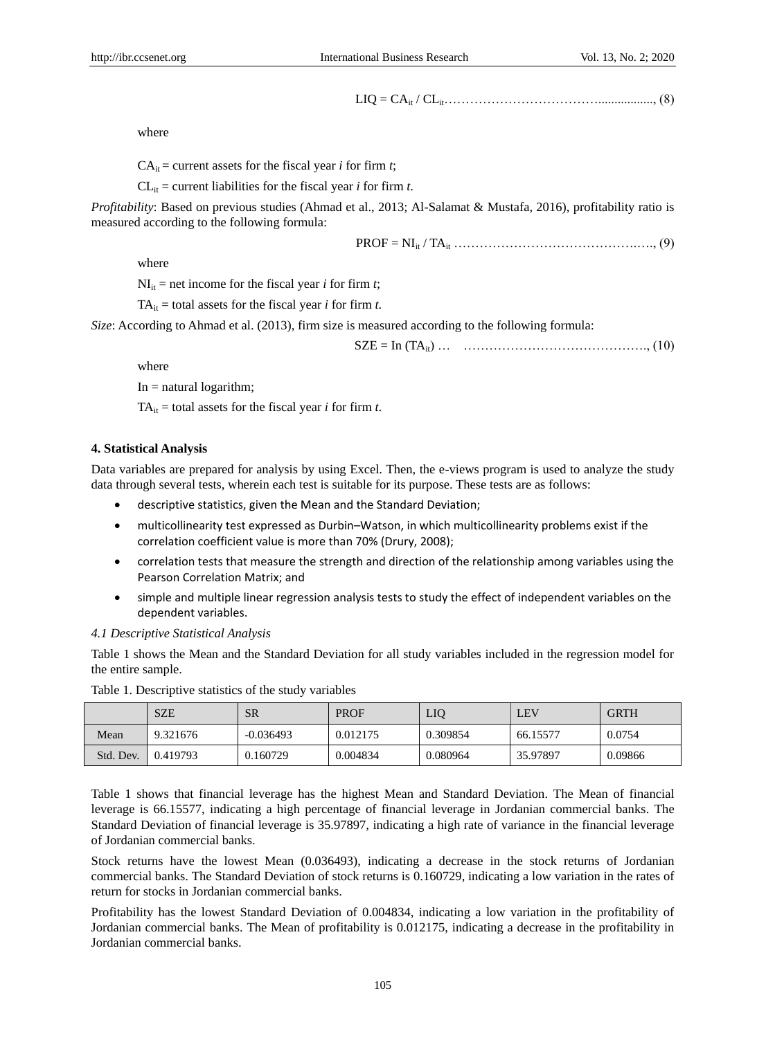LIQ = CAit / CLit………………………………................., (8)

where

 $CA<sub>it</sub> = current assets for the fiscal year *i* for firm *t*;$ 

 $CL<sub>it</sub> = current liabilities for the fiscal year *i* for firm *t*.$ 

*Profitability*: Based on previous studies (Ahmad et al., 2013; Al-Salamat & Mustafa, 2016), profitability ratio is measured according to the following formula:

PROF = NIit / TAit …………………………………….…., (9)

where

 $NI_{it}$  = net income for the fiscal year *i* for firm *t*;

TA $_{it}$  = total assets for the fiscal year *i* for firm *t*.

*Size*: According to Ahmad et al. (2013), firm size is measured according to the following formula:

SZE = In (TAit) … ……………………………………., (10)

where

 $In = natural logarithm$ ;

TA $_{it}$  = total assets for the fiscal year *i* for firm *t*.

## **4. Statistical Analysis**

Data variables are prepared for analysis by using Excel. Then, the e-views program is used to analyze the study data through several tests, wherein each test is suitable for its purpose. These tests are as follows:

- descriptive statistics, given the Mean and the Standard Deviation;
- multicollinearity test expressed as Durbin–Watson, in which multicollinearity problems exist if the correlation coefficient value is more than 70% (Drury, 2008);
- correlation tests that measure the strength and direction of the relationship among variables using the Pearson Correlation Matrix; and
- simple and multiple linear regression analysis tests to study the effect of independent variables on the dependent variables.

#### *4.1 Descriptive Statistical Analysis*

Table 1 shows the Mean and the Standard Deviation for all study variables included in the regression model for the entire sample.

|           | <b>SZE</b> | <b>SR</b>   | <b>PROF</b> | LIO      | $E$ V    | <b>GRTH</b> |
|-----------|------------|-------------|-------------|----------|----------|-------------|
| Mean      | 9.321676   | $-0.036493$ | 0.012175    | 0.309854 | 66.15577 | 0.0754      |
| Std. Dev. | 0.419793   | 0.160729    | 0.004834    | 0.080964 | 35.97897 | 0.09866     |

Table 1. Descriptive statistics of the study variables

Table 1 shows that financial leverage has the highest Mean and Standard Deviation. The Mean of financial leverage is 66.15577, indicating a high percentage of financial leverage in Jordanian commercial banks. The Standard Deviation of financial leverage is 35.97897, indicating a high rate of variance in the financial leverage of Jordanian commercial banks.

Stock returns have the lowest Mean (0.036493), indicating a decrease in the stock returns of Jordanian commercial banks. The Standard Deviation of stock returns is 0.160729, indicating a low variation in the rates of return for stocks in Jordanian commercial banks.

Profitability has the lowest Standard Deviation of 0.004834, indicating a low variation in the profitability of Jordanian commercial banks. The Mean of profitability is 0.012175, indicating a decrease in the profitability in Jordanian commercial banks.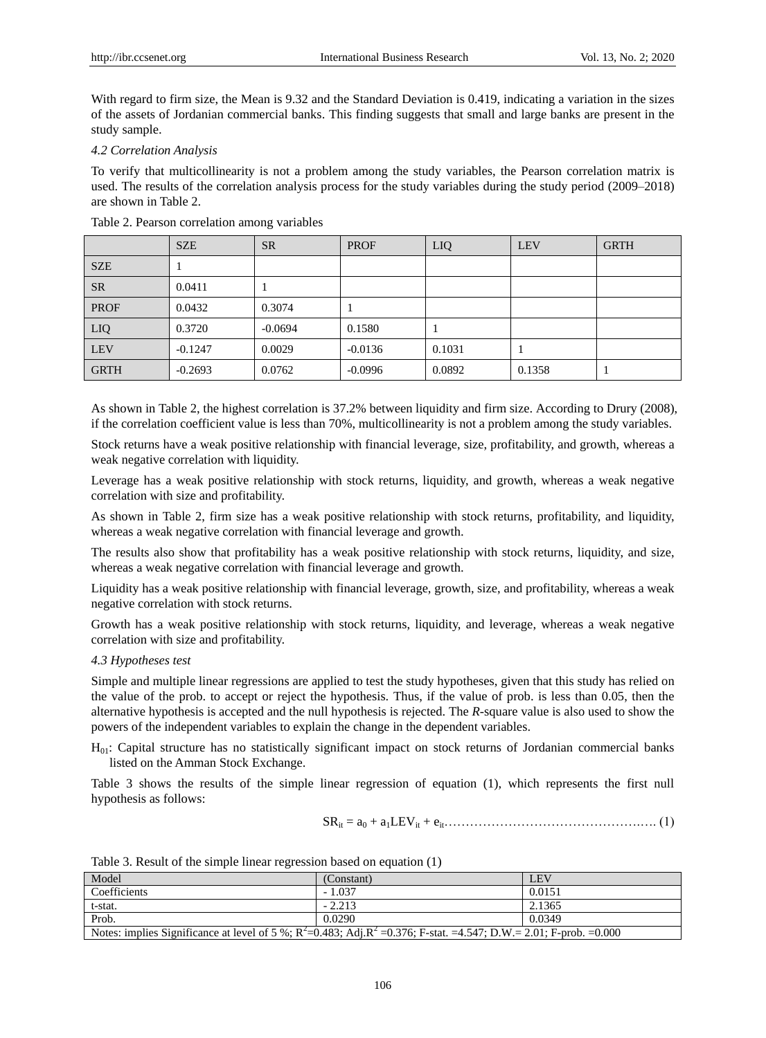With regard to firm size, the Mean is 9.32 and the Standard Deviation is 0.419, indicating a variation in the sizes of the assets of Jordanian commercial banks. This finding suggests that small and large banks are present in the study sample.

# *4.2 Correlation Analysis*

To verify that multicollinearity is not a problem among the study variables, the Pearson correlation matrix is used. The results of the correlation analysis process for the study variables during the study period (2009–2018) are shown in Table 2.

|             | <b>SZE</b> | <b>SR</b> | <b>PROF</b> | LIQ    | <b>LEV</b> | <b>GRTH</b> |
|-------------|------------|-----------|-------------|--------|------------|-------------|
| <b>SZE</b>  |            |           |             |        |            |             |
| <b>SR</b>   | 0.0411     |           |             |        |            |             |
| <b>PROF</b> | 0.0432     | 0.3074    |             |        |            |             |
| LIQ         | 0.3720     | $-0.0694$ | 0.1580      |        |            |             |
| <b>LEV</b>  | $-0.1247$  | 0.0029    | $-0.0136$   | 0.1031 |            |             |
| <b>GRTH</b> | $-0.2693$  | 0.0762    | $-0.0996$   | 0.0892 | 0.1358     |             |

Table 2. Pearson correlation among variables

As shown in Table 2, the highest correlation is 37.2% between liquidity and firm size. According to Drury (2008), if the correlation coefficient value is less than 70%, multicollinearity is not a problem among the study variables.

Stock returns have a weak positive relationship with financial leverage, size, profitability, and growth, whereas a weak negative correlation with liquidity.

Leverage has a weak positive relationship with stock returns, liquidity, and growth, whereas a weak negative correlation with size and profitability.

As shown in Table 2, firm size has a weak positive relationship with stock returns, profitability, and liquidity, whereas a weak negative correlation with financial leverage and growth.

The results also show that profitability has a weak positive relationship with stock returns, liquidity, and size, whereas a weak negative correlation with financial leverage and growth.

Liquidity has a weak positive relationship with financial leverage, growth, size, and profitability, whereas a weak negative correlation with stock returns.

Growth has a weak positive relationship with stock returns, liquidity, and leverage, whereas a weak negative correlation with size and profitability.

# *4.3 Hypotheses test*

Simple and multiple linear regressions are applied to test the study hypotheses, given that this study has relied on the value of the prob. to accept or reject the hypothesis. Thus, if the value of prob. is less than 0.05, then the alternative hypothesis is accepted and the null hypothesis is rejected. The *R*-square value is also used to show the powers of the independent variables to explain the change in the dependent variables.

H01: Capital structure has no statistically significant impact on stock returns of Jordanian commercial banks listed on the Amman Stock Exchange.

Table 3 shows the results of the simple linear regression of equation (1), which represents the first null hypothesis as follows:

SRit = a<sup>0</sup> + a1LEVit + eit……………………………………….…. (1)

| Model                                                                                                                     | (Constant) | LEV    |  |  |  |
|---------------------------------------------------------------------------------------------------------------------------|------------|--------|--|--|--|
| Coefficients                                                                                                              | $-1.037$   | 0.0151 |  |  |  |
| t-stat.                                                                                                                   | $-2.213$   | 2.1365 |  |  |  |
| Prob.                                                                                                                     | 0.0290     | 0.0349 |  |  |  |
| Notes: implies Significance at level of 5 %; $R^2$ =0.483; Adj. $R^2$ =0.376; F-stat. =4.547; D.W. = 2.01; F-prob. =0.000 |            |        |  |  |  |

Table 3. Result of the simple linear regression based on equation (1)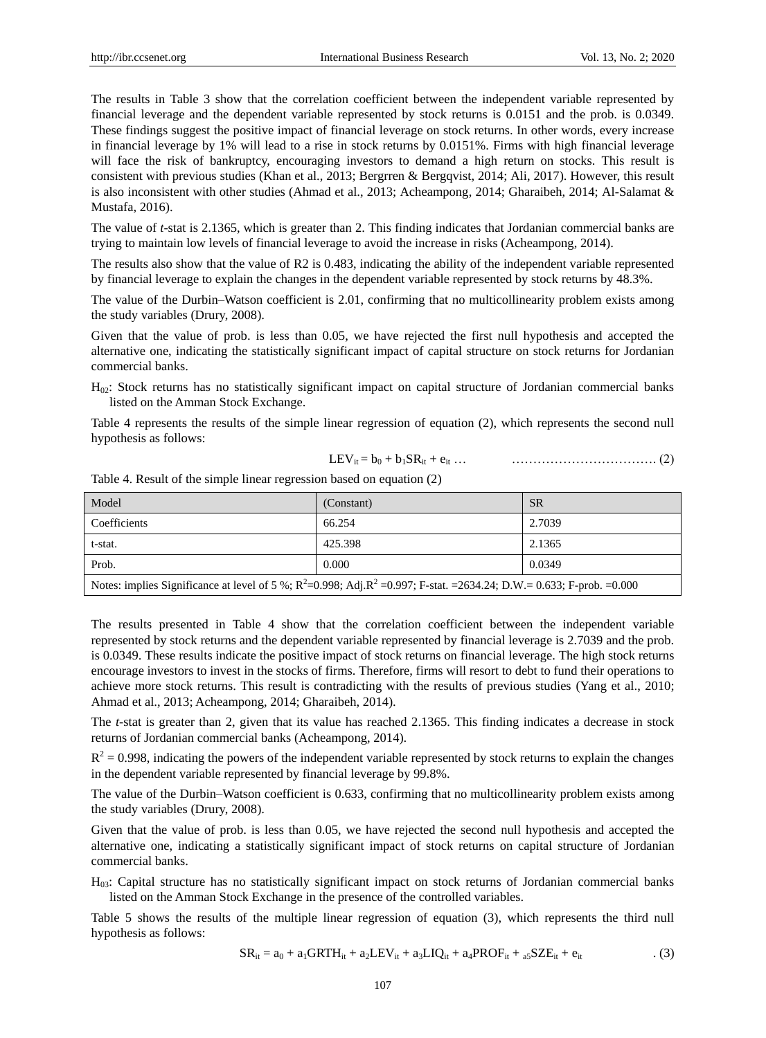The results in Table 3 show that the correlation coefficient between the independent variable represented by financial leverage and the dependent variable represented by stock returns is 0.0151 and the prob. is 0.0349. These findings suggest the positive impact of financial leverage on stock returns. In other words, every increase in financial leverage by 1% will lead to a rise in stock returns by 0.0151%. Firms with high financial leverage will face the risk of bankruptcy, encouraging investors to demand a high return on stocks. This result is consistent with previous studies (Khan et al., 2013; Bergrren & Bergqvist, 2014; Ali, 2017). However, this result is also inconsistent with other studies (Ahmad et al., 2013; Acheampong, 2014; Gharaibeh, 2014; Al-Salamat & Mustafa, 2016).

The value of *t*-stat is 2.1365, which is greater than 2. This finding indicates that Jordanian commercial banks are trying to maintain low levels of financial leverage to avoid the increase in risks (Acheampong, 2014).

The results also show that the value of R2 is 0.483, indicating the ability of the independent variable represented by financial leverage to explain the changes in the dependent variable represented by stock returns by 48.3%.

The value of the Durbin–Watson coefficient is 2.01, confirming that no multicollinearity problem exists among the study variables (Drury, 2008).

Given that the value of prob. is less than 0.05, we have rejected the first null hypothesis and accepted the alternative one, indicating the statistically significant impact of capital structure on stock returns for Jordanian commercial banks.

 $H<sub>02</sub>$ : Stock returns has no statistically significant impact on capital structure of Jordanian commercial banks listed on the Amman Stock Exchange.

Table 4 represents the results of the simple linear regression of equation (2), which represents the second null hypothesis as follows:

$$
LEV_{it} = b_0 + b_1 SR_{it} + e_{it} \dots \qquad \qquad \dots \dots \dots \dots \dots \dots \dots \dots \dots \dots \dots \dots \dots \tag{2}
$$

Table 4. Result of the simple linear regression based on equation (2)

| Model                                                                                                                       | (Constant) | <b>SR</b> |  |  |  |
|-----------------------------------------------------------------------------------------------------------------------------|------------|-----------|--|--|--|
| Coefficients                                                                                                                | 66.254     | 2.7039    |  |  |  |
| t-stat.                                                                                                                     | 425.398    | 2.1365    |  |  |  |
| Prob.                                                                                                                       | 0.000      | 0.0349    |  |  |  |
| Notes: implies Significance at level of 5 %; $R^2$ =0.998; Adj, $R^2$ =0.997; F-stat. =2634.24; D.W.= 0.633; F-prob. =0.000 |            |           |  |  |  |

The results presented in Table 4 show that the correlation coefficient between the independent variable represented by stock returns and the dependent variable represented by financial leverage is 2.7039 and the prob. is 0.0349. These results indicate the positive impact of stock returns on financial leverage. The high stock returns encourage investors to invest in the stocks of firms. Therefore, firms will resort to debt to fund their operations to achieve more stock returns. This result is contradicting with the results of previous studies (Yang et al., 2010; Ahmad et al., 2013; Acheampong, 2014; Gharaibeh, 2014).

The *t*-stat is greater than 2, given that its value has reached 2.1365. This finding indicates a decrease in stock returns of Jordanian commercial banks (Acheampong, 2014).

 $R<sup>2</sup> = 0.998$ , indicating the powers of the independent variable represented by stock returns to explain the changes in the dependent variable represented by financial leverage by 99.8%.

The value of the Durbin–Watson coefficient is 0.633, confirming that no multicollinearity problem exists among the study variables (Drury, 2008).

Given that the value of prob. is less than 0.05, we have rejected the second null hypothesis and accepted the alternative one, indicating a statistically significant impact of stock returns on capital structure of Jordanian commercial banks.

H03: Capital structure has no statistically significant impact on stock returns of Jordanian commercial banks listed on the Amman Stock Exchange in the presence of the controlled variables.

Table 5 shows the results of the multiple linear regression of equation (3), which represents the third null hypothesis as follows:

$$
SR_{it} = a_0 + a_1 GRTH_{it} + a_2 LEV_{it} + a_3 LIQ_{it} + a_4 PROF_{it} + a_5 SZE_{it} + e_{it}
$$
 (3)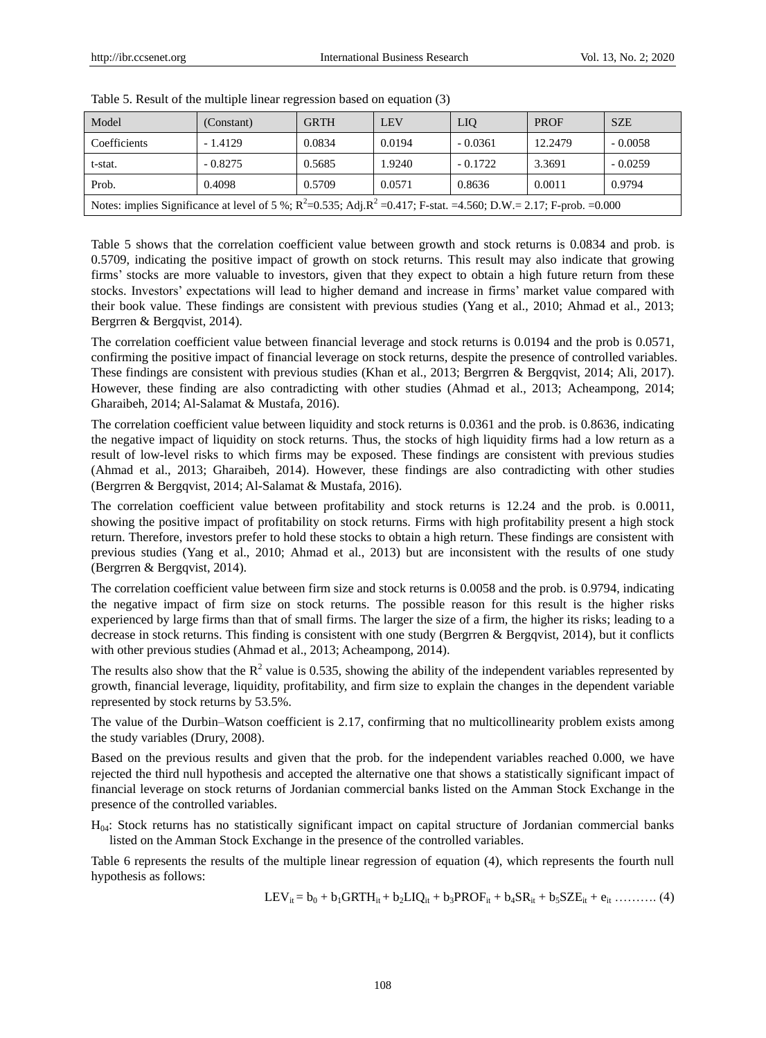| Model                                                                                                                    | (Constant) | <b>GRTH</b> | <b>LEV</b> | <b>LIO</b> | <b>PROF</b> | <b>SZE</b> |
|--------------------------------------------------------------------------------------------------------------------------|------------|-------------|------------|------------|-------------|------------|
| Coefficients                                                                                                             | $-1.4129$  | 0.0834      | 0.0194     | $-0.0361$  | 12.2479     | $-0.0058$  |
| t-stat.                                                                                                                  | $-0.8275$  | 0.5685      | 1.9240     | $-0.1722$  | 3.3691      | $-0.0259$  |
| Prob.                                                                                                                    | 0.4098     | 0.5709      | 0.0571     | 0.8636     | 0.0011      | 0.9794     |
| Notes: implies Significance at level of 5 %; $R^2$ =0.535; Adj. $R^2$ =0.417; F-stat. =4.560; D.W.= 2.17; F-prob. =0.000 |            |             |            |            |             |            |

Table 5. Result of the multiple linear regression based on equation (3)

Table 5 shows that the correlation coefficient value between growth and stock returns is 0.0834 and prob. is 0.5709, indicating the positive impact of growth on stock returns. This result may also indicate that growing firms' stocks are more valuable to investors, given that they expect to obtain a high future return from these stocks. Investors' expectations will lead to higher demand and increase in firms' market value compared with their book value. These findings are consistent with previous studies (Yang et al., 2010; Ahmad et al., 2013; Bergrren & Bergqvist, 2014).

The correlation coefficient value between financial leverage and stock returns is 0.0194 and the prob is 0.0571, confirming the positive impact of financial leverage on stock returns, despite the presence of controlled variables. These findings are consistent with previous studies (Khan et al., 2013; Bergrren & Bergqvist, 2014; Ali, 2017). However, these finding are also contradicting with other studies (Ahmad et al., 2013; Acheampong, 2014; Gharaibeh, 2014; Al-Salamat & Mustafa, 2016).

The correlation coefficient value between liquidity and stock returns is 0.0361 and the prob. is 0.8636, indicating the negative impact of liquidity on stock returns. Thus, the stocks of high liquidity firms had a low return as a result of low-level risks to which firms may be exposed. These findings are consistent with previous studies (Ahmad et al., 2013; Gharaibeh, 2014). However, these findings are also contradicting with other studies (Bergrren & Bergqvist, 2014; Al-Salamat & Mustafa, 2016).

The correlation coefficient value between profitability and stock returns is 12.24 and the prob. is 0.0011, showing the positive impact of profitability on stock returns. Firms with high profitability present a high stock return. Therefore, investors prefer to hold these stocks to obtain a high return. These findings are consistent with previous studies (Yang et al., 2010; Ahmad et al., 2013) but are inconsistent with the results of one study (Bergrren & Bergqvist, 2014).

The correlation coefficient value between firm size and stock returns is 0.0058 and the prob. is 0.9794, indicating the negative impact of firm size on stock returns. The possible reason for this result is the higher risks experienced by large firms than that of small firms. The larger the size of a firm, the higher its risks; leading to a decrease in stock returns. This finding is consistent with one study (Bergrren & Bergqvist, 2014), but it conflicts with other previous studies (Ahmad et al., 2013; Acheampong, 2014).

The results also show that the  $R^2$  value is 0.535, showing the ability of the independent variables represented by growth, financial leverage, liquidity, profitability, and firm size to explain the changes in the dependent variable represented by stock returns by 53.5%.

The value of the Durbin–Watson coefficient is 2.17, confirming that no multicollinearity problem exists among the study variables (Drury, 2008).

Based on the previous results and given that the prob. for the independent variables reached 0.000, we have rejected the third null hypothesis and accepted the alternative one that shows a statistically significant impact of financial leverage on stock returns of Jordanian commercial banks listed on the Amman Stock Exchange in the presence of the controlled variables.

H04: Stock returns has no statistically significant impact on capital structure of Jordanian commercial banks listed on the Amman Stock Exchange in the presence of the controlled variables.

Table 6 represents the results of the multiple linear regression of equation (4), which represents the fourth null hypothesis as follows:

 $LEV_{it} = b_0 + b_1GRTH_{it} + b_2LIQ_{it} + b_3PROF_{it} + b_4SR_{it} + b_5SZE_{it} + e_{it}$  ………. (4)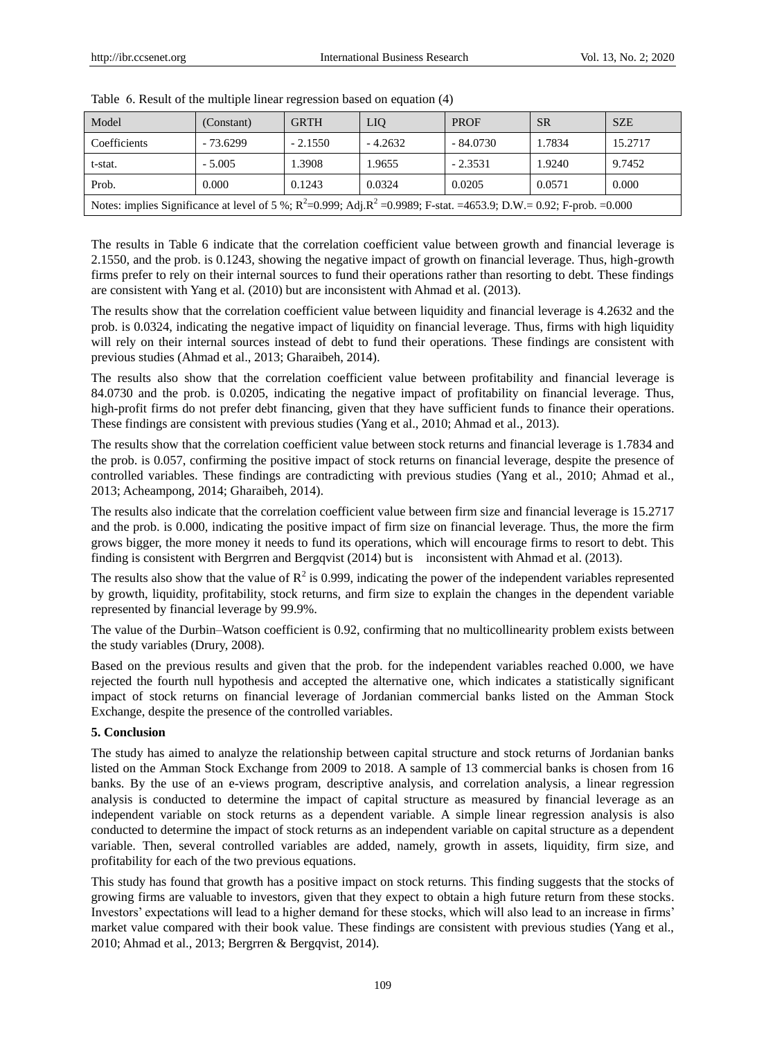| Model                                                                                                                      | (Constant) | <b>GRTH</b> | <b>LIO</b> | <b>PROF</b> | <b>SR</b> | <b>SZE</b> |
|----------------------------------------------------------------------------------------------------------------------------|------------|-------------|------------|-------------|-----------|------------|
| Coefficients                                                                                                               | $-73.6299$ | $-2.1550$   | $-4.2632$  | $-84.0730$  | 1.7834    | 15.2717    |
| t-stat.                                                                                                                    | $-5.005$   | 1.3908      | 1.9655     | $-2.3531$   | 1.9240    | 9.7452     |
| Prob.                                                                                                                      | 0.000      | 0.1243      | 0.0324     | 0.0205      | 0.0571    | 0.000      |
| Notes: implies Significance at level of 5 %; $R^2$ =0.999; Adj. $R^2$ =0.9989; F-stat. =4653.9; D.W.= 0.92; F-prob. =0.000 |            |             |            |             |           |            |

Table 6. Result of the multiple linear regression based on equation (4)

The results in Table 6 indicate that the correlation coefficient value between growth and financial leverage is 2.1550, and the prob. is 0.1243, showing the negative impact of growth on financial leverage. Thus, high-growth firms prefer to rely on their internal sources to fund their operations rather than resorting to debt. These findings are consistent with Yang et al. (2010) but are inconsistent with Ahmad et al. (2013).

The results show that the correlation coefficient value between liquidity and financial leverage is 4.2632 and the prob. is 0.0324, indicating the negative impact of liquidity on financial leverage. Thus, firms with high liquidity will rely on their internal sources instead of debt to fund their operations. These findings are consistent with previous studies (Ahmad et al., 2013; Gharaibeh, 2014).

The results also show that the correlation coefficient value between profitability and financial leverage is 84.0730 and the prob. is 0.0205, indicating the negative impact of profitability on financial leverage. Thus, high-profit firms do not prefer debt financing, given that they have sufficient funds to finance their operations. These findings are consistent with previous studies (Yang et al., 2010; Ahmad et al., 2013).

The results show that the correlation coefficient value between stock returns and financial leverage is 1.7834 and the prob. is 0.057, confirming the positive impact of stock returns on financial leverage, despite the presence of controlled variables. These findings are contradicting with previous studies (Yang et al., 2010; Ahmad et al., 2013; Acheampong, 2014; Gharaibeh, 2014).

The results also indicate that the correlation coefficient value between firm size and financial leverage is 15.2717 and the prob. is 0.000, indicating the positive impact of firm size on financial leverage. Thus, the more the firm grows bigger, the more money it needs to fund its operations, which will encourage firms to resort to debt. This finding is consistent with Bergrren and Bergqvist (2014) but is inconsistent with Ahmad et al. (2013).

The results also show that the value of  $R^2$  is 0.999, indicating the power of the independent variables represented by growth, liquidity, profitability, stock returns, and firm size to explain the changes in the dependent variable represented by financial leverage by 99.9%.

The value of the Durbin–Watson coefficient is 0.92, confirming that no multicollinearity problem exists between the study variables (Drury, 2008).

Based on the previous results and given that the prob. for the independent variables reached 0.000, we have rejected the fourth null hypothesis and accepted the alternative one, which indicates a statistically significant impact of stock returns on financial leverage of Jordanian commercial banks listed on the Amman Stock Exchange, despite the presence of the controlled variables.

# **5. Conclusion**

The study has aimed to analyze the relationship between capital structure and stock returns of Jordanian banks listed on the Amman Stock Exchange from 2009 to 2018. A sample of 13 commercial banks is chosen from 16 banks. By the use of an e-views program, descriptive analysis, and correlation analysis, a linear regression analysis is conducted to determine the impact of capital structure as measured by financial leverage as an independent variable on stock returns as a dependent variable. A simple linear regression analysis is also conducted to determine the impact of stock returns as an independent variable on capital structure as a dependent variable. Then, several controlled variables are added, namely, growth in assets, liquidity, firm size, and profitability for each of the two previous equations.

This study has found that growth has a positive impact on stock returns. This finding suggests that the stocks of growing firms are valuable to investors, given that they expect to obtain a high future return from these stocks. Investors' expectations will lead to a higher demand for these stocks, which will also lead to an increase in firms' market value compared with their book value. These findings are consistent with previous studies (Yang et al., 2010; Ahmad et al., 2013; Bergrren & Bergqvist, 2014).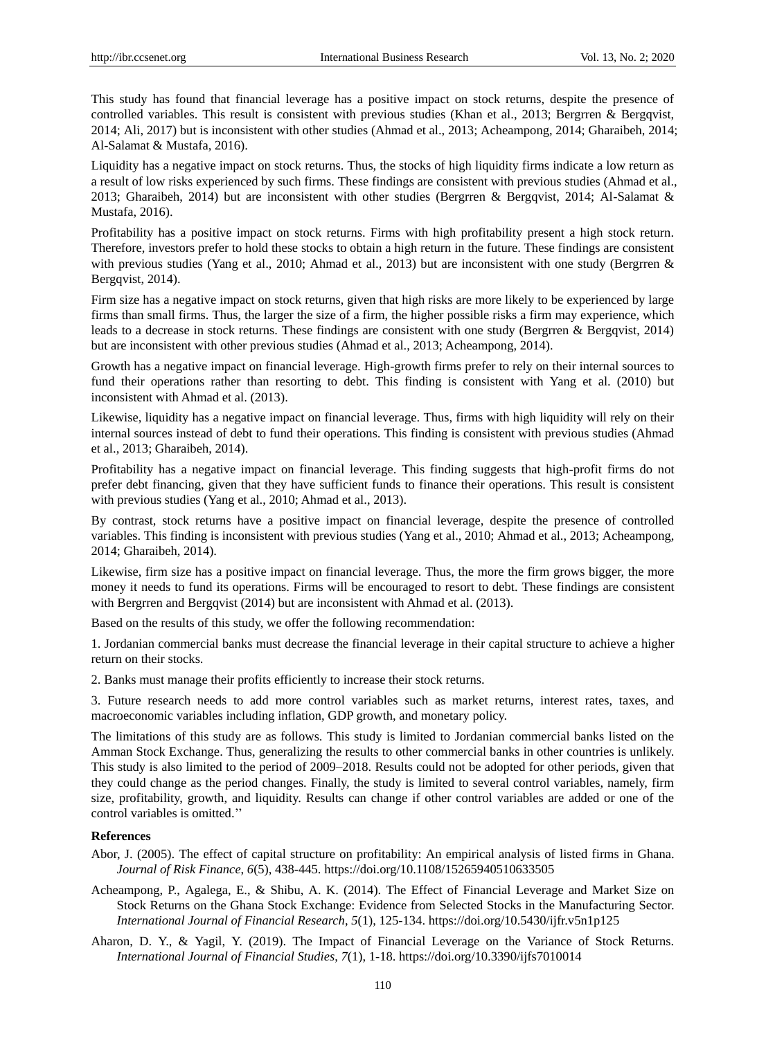This study has found that financial leverage has a positive impact on stock returns, despite the presence of controlled variables. This result is consistent with previous studies (Khan et al., 2013; Bergrren & Bergqvist, 2014; Ali, 2017) but is inconsistent with other studies (Ahmad et al., 2013; Acheampong, 2014; Gharaibeh, 2014; Al-Salamat & Mustafa, 2016).

Liquidity has a negative impact on stock returns. Thus, the stocks of high liquidity firms indicate a low return as a result of low risks experienced by such firms. These findings are consistent with previous studies (Ahmad et al., 2013; Gharaibeh, 2014) but are inconsistent with other studies (Bergrren & Bergqvist, 2014; Al-Salamat & Mustafa, 2016).

Profitability has a positive impact on stock returns. Firms with high profitability present a high stock return. Therefore, investors prefer to hold these stocks to obtain a high return in the future. These findings are consistent with previous studies (Yang et al., 2010; Ahmad et al., 2013) but are inconsistent with one study (Bergrren & Bergqvist, 2014).

Firm size has a negative impact on stock returns, given that high risks are more likely to be experienced by large firms than small firms. Thus, the larger the size of a firm, the higher possible risks a firm may experience, which leads to a decrease in stock returns. These findings are consistent with one study (Bergrren & Bergqvist, 2014) but are inconsistent with other previous studies (Ahmad et al., 2013; Acheampong, 2014).

Growth has a negative impact on financial leverage. High-growth firms prefer to rely on their internal sources to fund their operations rather than resorting to debt. This finding is consistent with Yang et al. (2010) but inconsistent with Ahmad et al. (2013).

Likewise, liquidity has a negative impact on financial leverage. Thus, firms with high liquidity will rely on their internal sources instead of debt to fund their operations. This finding is consistent with previous studies (Ahmad et al., 2013; Gharaibeh, 2014).

Profitability has a negative impact on financial leverage. This finding suggests that high-profit firms do not prefer debt financing, given that they have sufficient funds to finance their operations. This result is consistent with previous studies (Yang et al., 2010; Ahmad et al., 2013).

By contrast, stock returns have a positive impact on financial leverage, despite the presence of controlled variables. This finding is inconsistent with previous studies (Yang et al., 2010; Ahmad et al., 2013; Acheampong, 2014; Gharaibeh, 2014).

Likewise, firm size has a positive impact on financial leverage. Thus, the more the firm grows bigger, the more money it needs to fund its operations. Firms will be encouraged to resort to debt. These findings are consistent with Bergrren and Bergqvist (2014) but are inconsistent with Ahmad et al. (2013).

Based on the results of this study, we offer the following recommendation:

1. Jordanian commercial banks must decrease the financial leverage in their capital structure to achieve a higher return on their stocks.

2. Banks must manage their profits efficiently to increase their stock returns.

3. Future research needs to add more control variables such as market returns, interest rates, taxes, and macroeconomic variables including inflation, GDP growth, and monetary policy.

The limitations of this study are as follows. This study is limited to Jordanian commercial banks listed on the Amman Stock Exchange. Thus, generalizing the results to other commercial banks in other countries is unlikely. This study is also limited to the period of 2009–2018. Results could not be adopted for other periods, given that they could change as the period changes. Finally, the study is limited to several control variables, namely, firm size, profitability, growth, and liquidity. Results can change if other control variables are added or one of the control variables is omitted.''

## **References**

- Abor, J. (2005). The effect of capital structure on profitability: An empirical analysis of listed firms in Ghana. *Journal of Risk Finance*, *6*(5), 438-445.<https://doi.org/10.1108/15265940510633505>
- Acheampong, P., Agalega, E., & Shibu, A. K. (2014). The Effect of Financial Leverage and Market Size on Stock Returns on the Ghana Stock Exchange: Evidence from Selected Stocks in the Manufacturing Sector. *International Journal of Financial Research*, *5*(1), 125-134. https://doi.org/10.5430/ijfr.v5n1p125
- Aharon, D. Y., & Yagil, Y. (2019). The Impact of Financial Leverage on the Variance of Stock Returns. *International Journal of Financial Studies*, *7*(1), 1-18.<https://doi.org/10.3390/ijfs7010014>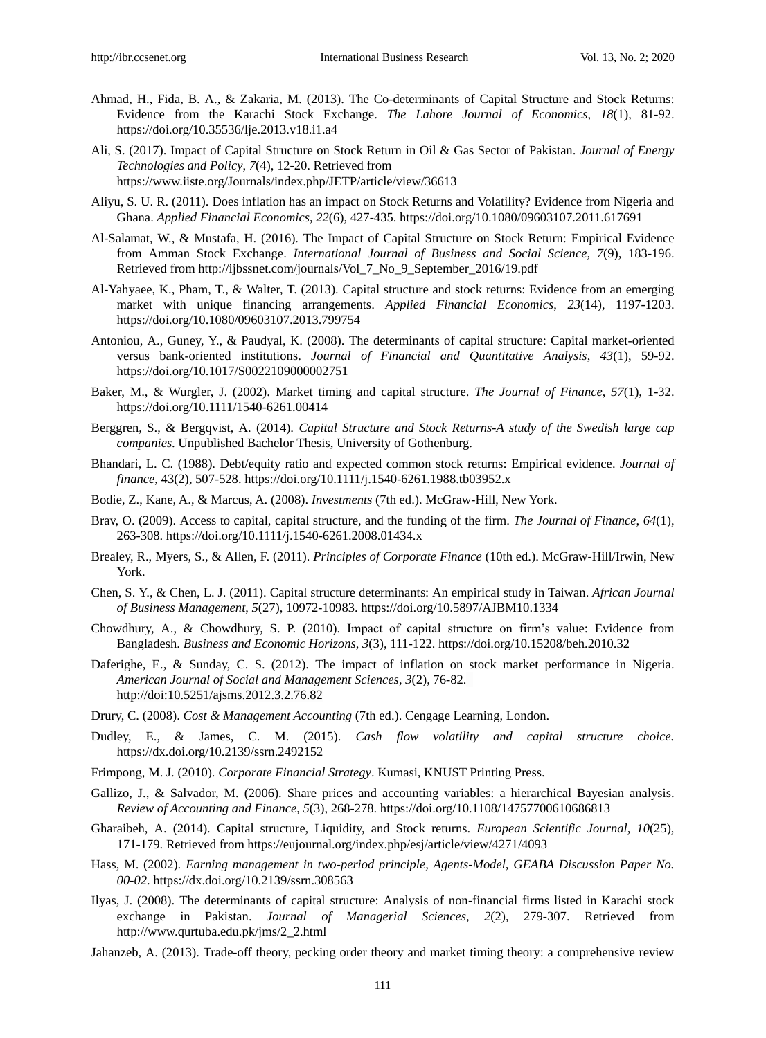- Ahmad, H., Fida, B. A., & Zakaria, M. (2013). The Co-determinants of Capital Structure and Stock Returns: Evidence from the Karachi Stock Exchange. *The Lahore Journal of Economics*, *18*(1), 81-92. <https://doi.org/10.35536/lje.2013.v18.i1.a4>
- Ali, S. (2017). Impact of Capital Structure on Stock Return in Oil & Gas Sector of Pakistan. *Journal of Energy Technologies and Policy*, *7*(4), 12-20. Retrieved from <https://www.iiste.org/Journals/index.php/JETP/article/view/36613>
- Aliyu, S. U. R. (2011). Does inflation has an impact on Stock Returns and Volatility? Evidence from Nigeria and Ghana. *Applied Financial Economics*, *22*(6), 427-435.<https://doi.org/10.1080/09603107.2011.617691>
- Al-Salamat, W., & Mustafa, H. (2016). The Impact of Capital Structure on Stock Return: Empirical Evidence from Amman Stock Exchange. *International Journal of Business and Social Science, 7*(9), 183-196. Retrieved from [http://ijbssnet.com/journals/Vol\\_7\\_No\\_9\\_September\\_2016/19.pdf](http://ijbssnet.com/journals/Vol_7_No_9_September_2016/19.pdf)
- Al-Yahyaee, K., Pham, T., & Walter, T. (2013). Capital structure and stock returns: Evidence from an emerging market with unique financing arrangements. *Applied Financial Economics*, *23*(14), 1197-1203. <https://doi.org/10.1080/09603107.2013.799754>
- Antoniou, A., Guney, Y., & Paudyal, K. (2008). The determinants of capital structure: Capital market‐oriented versus bank‐oriented institutions. *Journal of Financial and Quantitative Analysis*, *43*(1), 59-92. <https://doi.org/10.1017/S0022109000002751>
- Baker, M., & Wurgler, J. (2002). Market timing and capital structure. *The Journal of Finance*, *57*(1), 1-32. <https://doi.org/10.1111/1540-6261.00414>
- Berggren, S., & Bergqvist, A. (2014). *Capital Structure and Stock Returns-A study of the Swedish large cap companies*. Unpublished Bachelor Thesis, University of Gothenburg.
- Bhandari, L. C. (1988). Debt/equity ratio and expected common stock returns: Empirical evidence. *Journal of finance*, 43(2), 507-528.<https://doi.org/10.1111/j.1540-6261.1988.tb03952.x>
- Bodie, Z., Kane, A., & Marcus, A. (2008). *Investments* (7th ed.). McGraw-Hill, New York.
- Brav, O. (2009). Access to capital, capital structure, and the funding of the firm. *The Journal of Finance*, *64*(1), 263-308.<https://doi.org/10.1111/j.1540-6261.2008.01434.x>
- Brealey, R., Myers, S., & Allen, F. (2011). *Principles of Corporate Finance* (10th ed.). McGraw-Hill/Irwin, New York.
- Chen, S. Y., & Chen, L. J. (2011). Capital structure determinants: An empirical study in Taiwan. *African Journal of Business Management*, *5*(27), 10972-10983.<https://doi.org/10.5897/AJBM10.1334>
- Chowdhury, A., & Chowdhury, S. P. (2010). Impact of capital structure on firm's value: Evidence from Bangladesh. *Business and Economic Horizons*, *3*(3), 111-122. https://doi.org/10.15208/beh.2010.32
- Daferighe, E., & Sunday, C. S. (2012). The impact of inflation on stock market performance in Nigeria. *American Journal of Social and Management Sciences*, *3*(2), 76-82. <http://doi:10.5251/ajsms.2012.3.2.76.82>
- Drury, C. (2008). *Cost & Management Accounting* (7th ed.). Cengage Learning, London.
- Dudley, E., & James, C. M. (2015). *Cash flow volatility and capital structure choice.*  <https://dx.doi.org/10.2139/ssrn.2492152>
- Frimpong, M. J. (2010). *Corporate Financial Strategy*. Kumasi, KNUST Printing Press.
- Gallizo, J., & Salvador, M. (2006). Share prices and accounting variables: a hierarchical Bayesian analysis. *Review of Accounting and Finance*, *5*(3), 268-278[. https://doi.org/10.1108/14757700610686813](https://doi.org/10.1108/14757700610686813)
- Gharaibeh, A. (2014). Capital structure, Liquidity, and Stock returns. *European Scientific Journal*, *10*(25), 171-179. Retrieved fro[m https://eujournal.org/index.php/esj/article/view/4271/4093](https://eujournal.org/index.php/esj/article/view/4271/4093)
- Hass, M. (2002). *Earning management in two-period principle, Agents-Model, GEABA Discussion Paper No. 00-02*.<https://dx.doi.org/10.2139/ssrn.308563>
- Ilyas, J. (2008). The determinants of capital structure: Analysis of non-financial firms listed in Karachi stock exchange in Pakistan. *Journal of Managerial Sciences*, *2*(2), 279-307. Retrieved from http://www.qurtuba.edu.pk/jms/2\_2.html
- Jahanzeb, A. (2013). Trade-off theory, pecking order theory and market timing theory: a comprehensive review